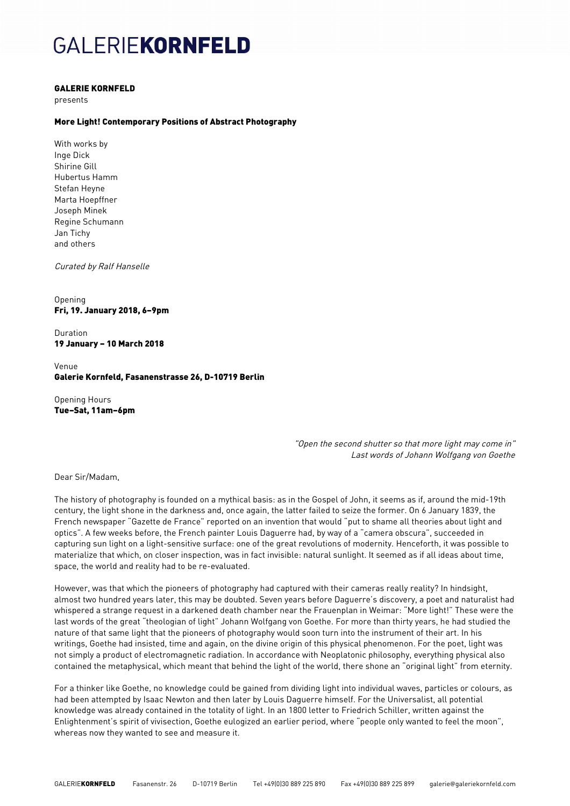# GALERIEKORNFELD

#### GALERIE KORNFELD

presents

### More Light! Contemporary Positions of Abstract Photography

With works by Inge Dick Shirine Gill Hubertus Hamm Stefan Heyne Marta Hoepffner Joseph Minek Regine Schumann Jan Tichy and others

Curated by Ralf Hanselle

Opening Fri, 19. January 2018, 6–9pm

Duration 19 January – 10 March 2018

Venue Galerie Kornfeld, Fasanenstrasse 26, D-10719 Berlin

Opening Hours Tue–Sat, 11am–6pm

> "Open the second shutter so that more light may come in" Last words of Johann Wolfgang von Goethe

Dear Sir/Madam,

The history of photography is founded on a mythical basis: as in the Gospel of John, it seems as if, around the mid-19th century, the light shone in the darkness and, once again, the latter failed to seize the former. On 6 January 1839, the French newspaper "Gazette de France" reported on an invention that would "put to shame all theories about light and optics". A few weeks before, the French painter Louis Daguerre had, by way of a "camera obscura", succeeded in capturing sun light on a light-sensitive surface: one of the great revolutions of modernity. Henceforth, it was possible to materialize that which, on closer inspection, was in fact invisible: natural sunlight. It seemed as if all ideas about time, space, the world and reality had to be re-evaluated.

However, was that which the pioneers of photography had captured with their cameras really reality? In hindsight, almost two hundred years later, this may be doubted. Seven years before Daguerre's discovery, a poet and naturalist had whispered a strange request in a darkened death chamber near the Frauenplan in Weimar: "More light!" These were the last words of the great "theologian of light" Johann Wolfgang von Goethe. For more than thirty years, he had studied the nature of that same light that the pioneers of photography would soon turn into the instrument of their art. In his writings, Goethe had insisted, time and again, on the divine origin of this physical phenomenon. For the poet, light was not simply a product of electromagnetic radiation. In accordance with Neoplatonic philosophy, everything physical also contained the metaphysical, which meant that behind the light of the world, there shone an "original light" from eternity.

For a thinker like Goethe, no knowledge could be gained from dividing light into individual waves, particles or colours, as had been attempted by Isaac Newton and then later by Louis Daguerre himself. For the Universalist, all potential knowledge was already contained in the totality of light. In an 1800 letter to Friedrich Schiller, written against the Enlightenment's spirit of vivisection, Goethe eulogized an earlier period, where "people only wanted to feel the moon", whereas now they wanted to see and measure it.